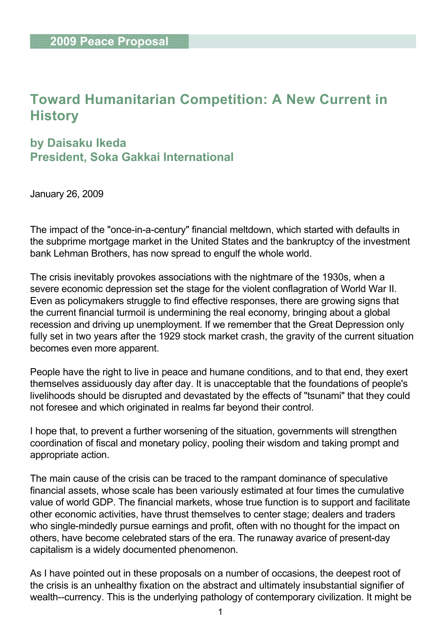# Toward Humanitarian Competition: A New Current in **History**

by Daisaku Ikeda President, Soka Gakkai International

January 26, 2009

The impact of the "once-in-a-century" financial meltdown, which started with defaults in the subprime mortgage market in the United States and the bankruptcy of the investment bank Lehman Brothers, has now spread to engulf the whole world.

The crisis inevitably provokes associations with the nightmare of the 1930s, when a severe economic depression set the stage for the violent conflagration of World War II. Even as policymakers struggle to find effective responses, there are growing signs that the current financial turmoil is undermining the real economy, bringing about a global recession and driving up unemployment. If we remember that the Great Depression only fully set in two years after the 1929 stock market crash, the gravity of the current situation becomes even more apparent.

People have the right to live in peace and humane conditions, and to that end, they exert themselves assiduously day after day. It is unacceptable that the foundations of people's livelihoods should be disrupted and devastated by the effects of "tsunami" that they could not foresee and which originated in realms far beyond their control.

I hope that, to prevent a further worsening of the situation, governments will strengthen coordination of fiscal and monetary policy, pooling their wisdom and taking prompt and appropriate action.

The main cause of the crisis can be traced to the rampant dominance of speculative financial assets, whose scale has been variously estimated at four times the cumulative value of world GDP. The financial markets, whose true function is to support and facilitate other economic activities, have thrust themselves to center stage; dealers and traders who single-mindedly pursue earnings and profit, often with no thought for the impact on others, have become celebrated stars of the era. The runaway avarice of present-day capitalism is a widely documented phenomenon.

As I have pointed out in these proposals on a number of occasions, the deepest root of the crisis is an unhealthy fixation on the abstract and ultimately insubstantial signifier of wealth--currency. This is the underlying pathology of contemporary civilization. It might be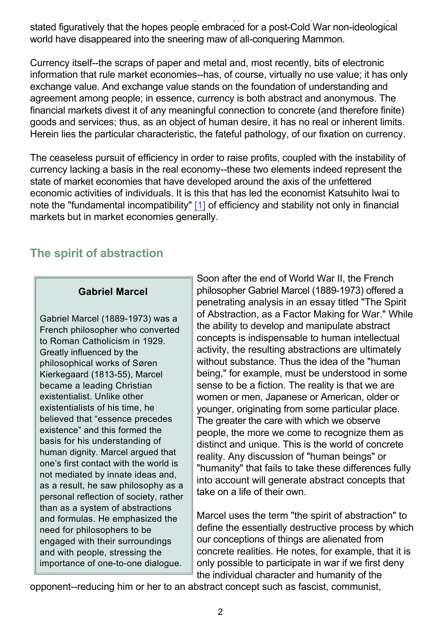wealth--currency. This is the underlying pathology of contemporary civilization. It might be underlying pathology of contemporary civilization. It might be underlying pathology of contemporary civilization. It might be un stated figuratively that the hopes people embraced for a post-Cold War non-ideological world have disappeared into the sneering maw of all-conquering Mammon.

Currency itself--the scraps of paper and metal and, most recently, bits of electronic information that rule market economies--has, of course, virtually no use value; it has only exchange value. And exchange value stands on the foundation of understanding and agreement among people; in essence, currency is both abstract and anonymous. The financial markets divest it of any meaningful connection to concrete (and therefore finite) goods and services; thus, as an object of human desire, it has no real or inherent limits. Herein lies the particular characteristic, the fateful pathology, of our fixation on currency.

The ceaseless pursuit of efficiency in order to raise profits, coupled with the instability of currency lacking a basis in the real economy--these two elements indeed represent the state of market economies that have developed around the axis of the unfettered economic activities of individuals. It is this that has led the economist Katsuhito Iwai to note the "fundamental incompatibility" [\[1\]](#page-25-0) of efficiency and stability not only in financial markets but in market economies generally.

### The spirit of abstraction

### Gabriel Marcel

Gabriel Marcel (1889-1973) was a French philosopher who converted to Roman Catholicism in 1929. Greatly influenced by the philosophical works of Søren Kierkegaard (1813-55), Marcel became a leading Christian existentialist. Unlike other existentialists of his time, he believed that "essence precedes existence" and this formed the basis for his understanding of human dignity. Marcel argued that one's first contact with the world is not mediated by innate ideas and, as a result, he saw philosophy as a personal reflection of society, rather than as a system of abstractions and formulas. He emphasized the need for philosophers to be engaged with their surroundings and with people, stressing the importance of one-to-one dialogue.

Soon after the end of World War II, the French philosopher Gabriel Marcel (1889-1973) offered a penetrating analysis in an essay titled "The Spirit of Abstraction, as a Factor Making for War." While the ability to develop and manipulate abstract concepts is indispensable to human intellectual activity, the resulting abstractions are ultimately without substance. Thus the idea of the "human being," for example, must be understood in some sense to be a fiction. The reality is that we are women or men, Japanese or American, older or younger, originating from some particular place. The greater the care with which we observe people, the more we come to recognize them as distinct and unique. This is the world of concrete reality. Any discussion of "human beings" or "humanity" that fails to take these differences fully into account will generate abstract concepts that take on a life of their own.

Marcel uses the term "the spirit of abstraction" to define the essentially destructive process by which our conceptions of things are alienated from concrete realities. He notes, for example, that it is only possible to participate in war if we first deny the individual character and humanity of the

opponent--reducing him or her to an abstract concept such as fascist, communist,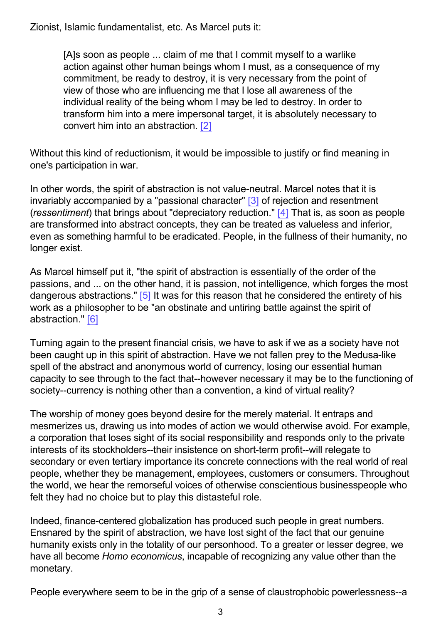Zionist, Islamic fundamentalist, etc. As Marcel puts it:

[A]s soon as people ... claim of me that I commit myself to a warlike action against other human beings whom I must, as a consequence of my commitment, be ready to destroy, it is very necessary from the point of view of those who are influencing me that I lose all awareness of the individual reality of the being whom I may be led to destroy. In order to transform him into a mere impersonal target, it is absolutely necessary to convert him into an abstraction. [\[2\]](#page-25-0)

Without this kind of reductionism, it would be impossible to justify or find meaning in one's participation in war.

In other words, the spirit of abstraction is not value-neutral. Marcel notes that it is invariably accompanied by a "passional character" [\[3\]](#page-25-0) of rejection and resentment (*ressentiment*) that brings about "depreciatory reduction." [\[4\]](#page-25-0) That is, as soon as people are transformed into abstract concepts, they can be treated as valueless and inferior, even as something harmful to be eradicated. People, in the fullness of their humanity, no longer exist.

As Marcel himself put it, "the spirit of abstraction is essentially of the order of the passions, and ... on the other hand, it is passion, not intelligence, which forges the most dangerous abstractions." [\[5\]](#page-25-0) It was for this reason that he considered the entirety of his work as a philosopher to be "an obstinate and untiring battle against the spirit of abstraction." [\[6\]](#page-25-0)

Turning again to the present financial crisis, we have to ask if we as a society have not been caught up in this spirit of abstraction. Have we not fallen prey to the Medusa-like spell of the abstract and anonymous world of currency, losing our essential human capacity to see through to the fact that--however necessary it may be to the functioning of society--currency is nothing other than a convention, a kind of virtual reality?

The worship of money goes beyond desire for the merely material. It entraps and mesmerizes us, drawing us into modes of action we would otherwise avoid. For example, a corporation that loses sight of its social responsibility and responds only to the private interests of its stockholders--their insistence on short-term profit--will relegate to secondary or even tertiary importance its concrete connections with the real world of real people, whether they be management, employees, customers or consumers. Throughout the world, we hear the remorseful voices of otherwise conscientious businesspeople who felt they had no choice but to play this distasteful role.

Indeed, finance-centered globalization has produced such people in great numbers. Ensnared by the spirit of abstraction, we have lost sight of the fact that our genuine humanity exists only in the totality of our personhood. To a greater or lesser degree, we have all become *Homo economicus*, incapable of recognizing any value other than the monetary.

People everywhere seem to be in the grip of a sense of claustrophobic powerlessness--a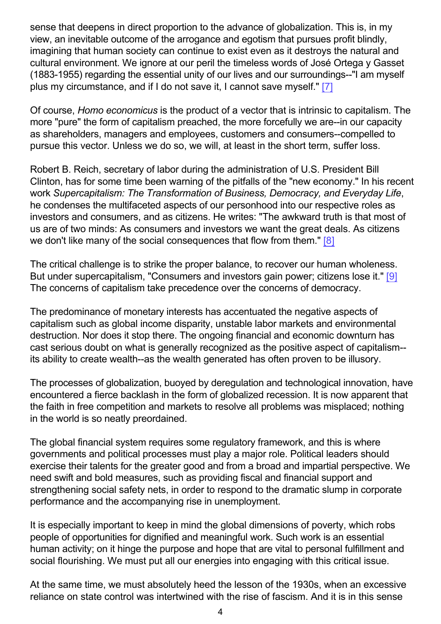sense that deepens in direct proportion to the advance of globalization. This is, in my view, an inevitable outcome of the arrogance and egotism that pursues profit blindly, imagining that human society can continue to exist even as it destroys the natural and cultural environment. We ignore at our peril the timeless words of José Ortega y Gasset (1883-1955) regarding the essential unity of our lives and our surroundings--"I am myself plus my circumstance, and if I do not save it, I cannot save myself." [\[7\]](#page-25-0)

Of course, *Homo economicus* is the product of a vector that is intrinsic to capitalism. The more "pure" the form of capitalism preached, the more forcefully we are--in our capacity as shareholders, managers and employees, customers and consumers--compelled to pursue this vector. Unless we do so, we will, at least in the short term, suffer loss.

Robert B. Reich, secretary of labor during the administration of U.S. President Bill Clinton, has for some time been warning of the pitfalls of the "new economy." In his recent work *Supercapitalism: The Transformation of Business, Democracy, and Everyday Life*, he condenses the multifaceted aspects of our personhood into our respective roles as investors and consumers, and as citizens. He writes: "The awkward truth is that most of us are of two minds: As consumers and investors we want the great deals. As citizens we don't like many of the social consequences that flow from them." [\[8\]](#page-25-0)

The critical challenge is to strike the proper balance, to recover our human wholeness. But under supercapitalism, "Consumers and investors gain power; citizens lose it." [\[9\]](#page-25-0) The concerns of capitalism take precedence over the concerns of democracy.

The predominance of monetary interests has accentuated the negative aspects of capitalism such as global income disparity, unstable labor markets and environmental destruction. Nor does it stop there. The ongoing financial and economic downturn has cast serious doubt on what is generally recognized as the positive aspect of capitalism- its ability to create wealth--as the wealth generated has often proven to be illusory.

The processes of globalization, buoyed by deregulation and technological innovation, have encountered a fierce backlash in the form of globalized recession. It is now apparent that the faith in free competition and markets to resolve all problems was misplaced; nothing in the world is so neatly preordained.

The global financial system requires some regulatory framework, and this is where governments and political processes must play a major role. Political leaders should exercise their talents for the greater good and from a broad and impartial perspective. We need swift and bold measures, such as providing fiscal and financial support and strengthening social safety nets, in order to respond to the dramatic slump in corporate performance and the accompanying rise in unemployment.

It is especially important to keep in mind the global dimensions of poverty, which robs people of opportunities for dignified and meaningful work. Such work is an essential human activity; on it hinge the purpose and hope that are vital to personal fulfillment and social flourishing. We must put all our energies into engaging with this critical issue.

At the same time, we must absolutely heed the lesson of the 1930s, when an excessive reliance on state control was intertwined with the rise of fascism. And it is in this sense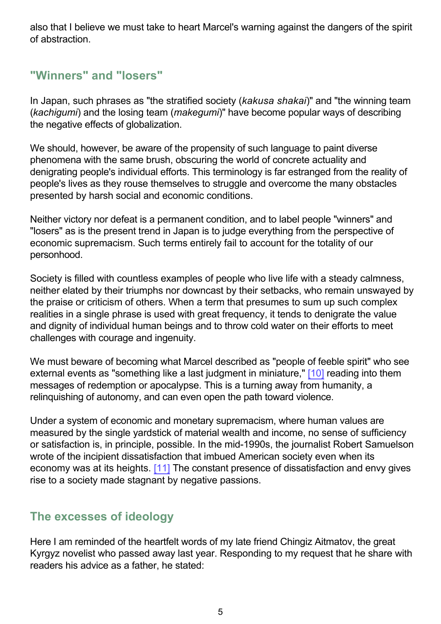also that I believe we must take to heart Marcel's warning against the dangers of the spirit of abstraction.

## "Winners" and "losers"

In Japan, such phrases as "the stratified society (*kakusa shakai*)" and "the winning team (*kachigumi*) and the losing team (*makegumi*)" have become popular ways of describing the negative effects of globalization.

We should, however, be aware of the propensity of such language to paint diverse phenomena with the same brush, obscuring the world of concrete actuality and denigrating people's individual efforts. This terminology is far estranged from the reality of people's lives as they rouse themselves to struggle and overcome the many obstacles presented by harsh social and economic conditions.

Neither victory nor defeat is a permanent condition, and to label people "winners" and "losers" as is the present trend in Japan is to judge everything from the perspective of economic supremacism. Such terms entirely fail to account for the totality of our personhood.

Society is filled with countless examples of people who live life with a steady calmness, neither elated by their triumphs nor downcast by their setbacks, who remain unswayed by the praise or criticism of others. When a term that presumes to sum up such complex realities in a single phrase is used with great frequency, it tends to denigrate the value and dignity of individual human beings and to throw cold water on their efforts to meet challenges with courage and ingenuity.

We must beware of becoming what Marcel described as "people of feeble spirit" who see external events as "something like a last judgment in miniature," [\[10\]](#page-25-0) reading into them messages of redemption or apocalypse. This is a turning away from humanity, a relinquishing of autonomy, and can even open the path toward violence.

Under a system of economic and monetary supremacism, where human values are measured by the single yardstick of material wealth and income, no sense of sufficiency or satisfaction is, in principle, possible. In the mid-1990s, the journalist Robert Samuelson wrote of the incipient dissatisfaction that imbued American society even when its economy was at its heights. [\[11\]](#page-25-0) The constant presence of dissatisfaction and envy gives rise to a society made stagnant by negative passions.

## The excesses of ideology

Here I am reminded of the heartfelt words of my late friend Chingiz Aitmatov, the great Kyrgyz novelist who passed away last year. Responding to my request that he share with readers his advice as a father, he stated: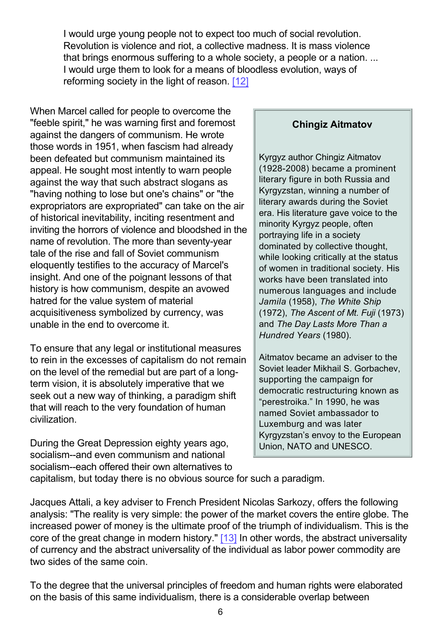I would urge young people not to expect too much of social revolution. Revolution is violence and riot, a collective madness. It is mass violence that brings enormous suffering to a whole society, a people or a nation. ... I would urge them to look for a means of bloodless evolution, ways of reforming society in the light of reason. [\[12\]](#page-25-0)

When Marcel called for people to overcome the "feeble spirit," he was warning first and foremost against the dangers of communism. He wrote those words in 1951, when fascism had already been defeated but communism maintained its appeal. He sought most intently to warn people against the way that such abstract slogans as "having nothing to lose but one's chains" or "the expropriators are expropriated" can take on the air of historical inevitability, inciting resentment and inviting the horrors of violence and bloodshed in the name of revolution. The more than seventy-year tale of the rise and fall of Soviet communism eloquently testifies to the accuracy of Marcel's insight. And one of the poignant lessons of that history is how communism, despite an avowed hatred for the value system of material acquisitiveness symbolized by currency, was unable in the end to overcome it.

To ensure that any legal or institutional measures to rein in the excesses of capitalism do not remain on the level of the remedial but are part of a longterm vision, it is absolutely imperative that we seek out a new way of thinking, a paradigm shift that will reach to the very foundation of human civilization.

During the Great Depression eighty years ago, socialism--and even communism and national socialism--each offered their own alternatives to

### Chingiz Aitmatov

Kyrgyz author Chingiz Aitmatov (1928-2008) became a prominent literary figure in both Russia and Kyrgyzstan, winning a number of literary awards during the Soviet era. His literature gave voice to the minority Kyrgyz people, often portraying life in a society dominated by collective thought, while looking critically at the status of women in traditional society. His works have been translated into numerous languages and include *Jamila* (1958), *The White Ship* (1972), *The Ascent of Mt. Fuji* (1973) and *The Day Lasts More Than a Hundred Years* (1980).

Aitmatov became an adviser to the Soviet leader Mikhail S. Gorbachev, supporting the campaign for democratic restructuring known as "perestroika." In 1990, he was named Soviet ambassador to Luxemburg and was later Kyrgyzstan's envoy to the European Union, NATO and UNESCO.

capitalism, but today there is no obvious source for such a paradigm.

Jacques Attali, a key adviser to French President Nicolas Sarkozy, offers the following analysis: "The reality is very simple: the power of the market covers the entire globe. The increased power of money is the ultimate proof of the triumph of individualism. This is the core of the great change in modern history." [\[13\]](#page-25-0) In other words, the abstract universality of currency and the abstract universality of the individual as labor power commodity are two sides of the same coin.

To the degree that the universal principles of freedom and human rights were elaborated on the basis of this same individualism, there is a considerable overlap between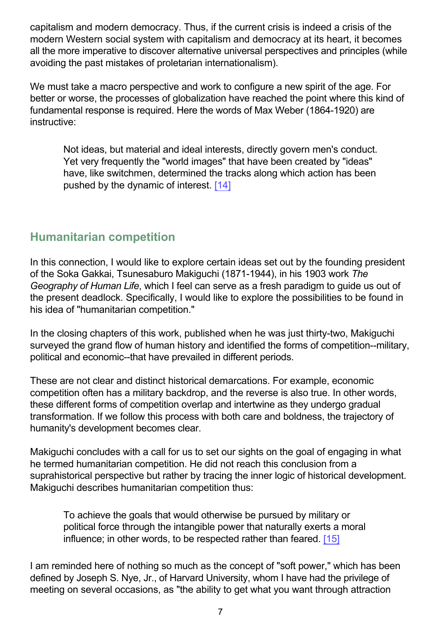on the basis of this same individualism, there is a considerable overlap between capitalism and modern democracy. Thus, if the current crisis is indeed a crisis of the modern Western social system with capitalism and democracy at its heart, it becomes all the more imperative to discover alternative universal perspectives and principles (while avoiding the past mistakes of proletarian internationalism).

We must take a macro perspective and work to configure a new spirit of the age. For better or worse, the processes of globalization have reached the point where this kind of fundamental response is required. Here the words of Max Weber (1864-1920) are instructive:

Not ideas, but material and ideal interests, directly govern men's conduct. Yet very frequently the "world images" that have been created by "ideas" have, like switchmen, determined the tracks along which action has been pushed by the dynamic of interest. [\[14\]](#page-25-0)

### Humanitarian competition

In this connection, I would like to explore certain ideas set out by the founding president of the Soka Gakkai, Tsunesaburo Makiguchi (1871-1944), in his 1903 work *The Geography of Human Life*, which I feel can serve as a fresh paradigm to guide us out of the present deadlock. Specifically, I would like to explore the possibilities to be found in his idea of "humanitarian competition."

In the closing chapters of this work, published when he was just thirty-two, Makiguchi surveyed the grand flow of human history and identified the forms of competition--military, political and economic--that have prevailed in different periods.

These are not clear and distinct historical demarcations. For example, economic competition often has a military backdrop, and the reverse is also true. In other words, these different forms of competition overlap and intertwine as they undergo gradual transformation. If we follow this process with both care and boldness, the trajectory of humanity's development becomes clear.

Makiguchi concludes with a call for us to set our sights on the goal of engaging in what he termed humanitarian competition. He did not reach this conclusion from a suprahistorical perspective but rather by tracing the inner logic of historical development. Makiguchi describes humanitarian competition thus:

To achieve the goals that would otherwise be pursued by military or political force through the intangible power that naturally exerts a moral influence; in other words, to be respected rather than feared. [\[15\]](#page-25-0)

I am reminded here of nothing so much as the concept of "soft power," which has been defined by Joseph S. Nye, Jr., of Harvard University, whom I have had the privilege of meeting on several occasions, as "the ability to get what you want through attraction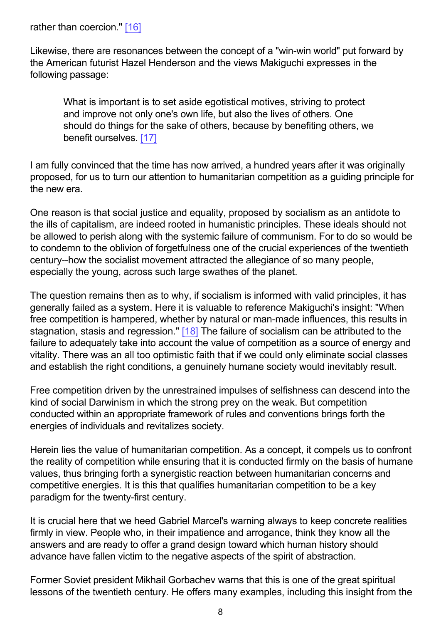rather than coercion." [\[16\]](#page-25-0)

Likewise, there are resonances between the concept of a "win-win world" put forward by the American futurist Hazel Henderson and the views Makiguchi expresses in the following passage:

What is important is to set aside egotistical motives, striving to protect and improve not only one's own life, but also the lives of others. One should do things for the sake of others, because by benefiting others, we benefit ourselves. [\[17\]](#page-25-0)

I am fully convinced that the time has now arrived, a hundred years after it was originally proposed, for us to turn our attention to humanitarian competition as a guiding principle for the new era.

One reason is that social justice and equality, proposed by socialism as an antidote to the ills of capitalism, are indeed rooted in humanistic principles. These ideals should not be allowed to perish along with the systemic failure of communism. For to do so would be to condemn to the oblivion of forgetfulness one of the crucial experiences of the twentieth century--how the socialist movement attracted the allegiance of so many people, especially the young, across such large swathes of the planet.

The question remains then as to why, if socialism is informed with valid principles, it has generally failed as a system. Here it is valuable to reference Makiguchi's insight: "When free competition is hampered, whether by natural or man-made influences, this results in stagnation, stasis and regression." [\[18\]](#page-25-0) The failure of socialism can be attributed to the failure to adequately take into account the value of competition as a source of energy and vitality. There was an all too optimistic faith that if we could only eliminate social classes and establish the right conditions, a genuinely humane society would inevitably result.

Free competition driven by the unrestrained impulses of selfishness can descend into the kind of social Darwinism in which the strong prey on the weak. But competition conducted within an appropriate framework of rules and conventions brings forth the energies of individuals and revitalizes society.

Herein lies the value of humanitarian competition. As a concept, it compels us to confront the reality of competition while ensuring that it is conducted firmly on the basis of humane values, thus bringing forth a synergistic reaction between humanitarian concerns and competitive energies. It is this that qualifies humanitarian competition to be a key paradigm for the twenty-first century.

It is crucial here that we heed Gabriel Marcel's warning always to keep concrete realities firmly in view. People who, in their impatience and arrogance, think they know all the answers and are ready to offer a grand design toward which human history should advance have fallen victim to the negative aspects of the spirit of abstraction.

Former Soviet president Mikhail Gorbachev warns that this is one of the great spiritual lessons of the twentieth century. He offers many examples, including this insight from the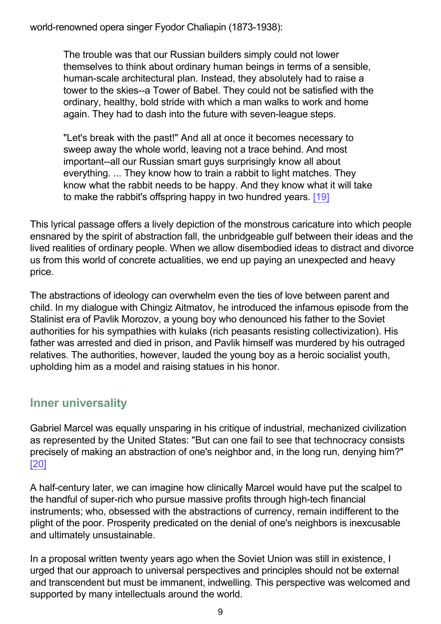The trouble was that our Russian builders simply could not lower themselves to think about ordinary human beings in terms of a sensible, human-scale architectural plan. Instead, they absolutely had to raise a tower to the skies--a Tower of Babel. They could not be satisfied with the ordinary, healthy, bold stride with which a man walks to work and home again. They had to dash into the future with seven-league steps.

"Let's break with the past!" And all at once it becomes necessary to sweep away the whole world, leaving not a trace behind. And most important--all our Russian smart guys surprisingly know all about everything. ... They know how to train a rabbit to light matches. They know what the rabbit needs to be happy. And they know what it will take to make the rabbit's offspring happy in two hundred years. [\[19\]](#page-25-0)

This lyrical passage offers a lively depiction of the monstrous caricature into which people ensnared by the spirit of abstraction fall, the unbridgeable gulf between their ideas and the lived realities of ordinary people. When we allow disembodied ideas to distract and divorce us from this world of concrete actualities, we end up paying an unexpected and heavy price.

The abstractions of ideology can overwhelm even the ties of love between parent and child. In my dialogue with Chingiz Aitmatov, he introduced the infamous episode from the Stalinist era of Pavlik Morozov, a young boy who denounced his father to the Soviet authorities for his sympathies with kulaks (rich peasants resisting collectivization). His father was arrested and died in prison, and Pavlik himself was murdered by his outraged relatives. The authorities, however, lauded the young boy as a heroic socialist youth, upholding him as a model and raising statues in his honor.

## Inner universality

Gabriel Marcel was equally unsparing in his critique of industrial, mechanized civilization as represented by the United States: "But can one fail to see that technocracy consists precisely of making an abstraction of one's neighbor and, in the long run, denying him?" [\[20\]](#page-25-0)

A half-century later, we can imagine how clinically Marcel would have put the scalpel to the handful of super-rich who pursue massive profits through high-tech financial instruments; who, obsessed with the abstractions of currency, remain indifferent to the plight of the poor. Prosperity predicated on the denial of one's neighbors is inexcusable and ultimately unsustainable.

In a proposal written twenty years ago when the Soviet Union was still in existence, I urged that our approach to universal perspectives and principles should not be external and transcendent but must be immanent, indwelling. This perspective was welcomed and supported by many intellectuals around the world.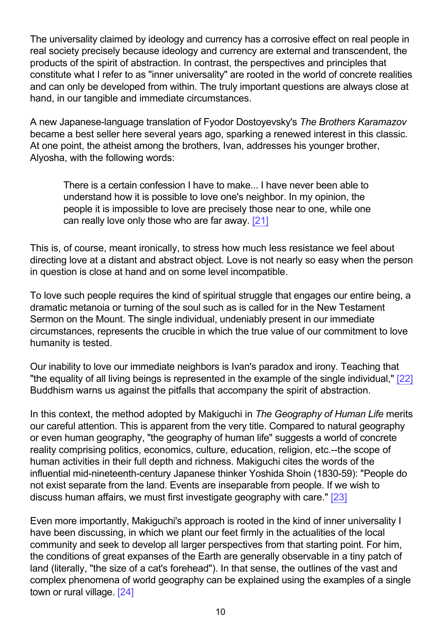The universality claimed by ideology and currency has a corrosive effect on real people in real society precisely because ideology and currency are external and transcendent, the products of the spirit of abstraction. In contrast, the perspectives and principles that constitute what I refer to as "inner universality" are rooted in the world of concrete realities and can only be developed from within. The truly important questions are always close at hand, in our tangible and immediate circumstances.

A new Japanese-language translation of Fyodor Dostoyevsky's *The Brothers Karamazov* became a best seller here several years ago, sparking a renewed interest in this classic. At one point, the atheist among the brothers, Ivan, addresses his younger brother, Alyosha, with the following words:

There is a certain confession I have to make. I have never been able to understand how it is possible to love one's neighbor. In my opinion, the people it is impossible to love are precisely those near to one, while one can really love only those who are far away. [\[21\]](#page-25-0)

This is, of course, meant ironically, to stress how much less resistance we feel about directing love at a distant and abstract object. Love is not nearly so easy when the person in question is close at hand and on some level incompatible.

To love such people requires the kind of spiritual struggle that engages our entire being, a dramatic metanoia or turning of the soul such as is called for in the New Testament Sermon on the Mount. The single individual, undeniably present in our immediate circumstances, represents the crucible in which the true value of our commitment to love humanity is tested.

Our inability to love our immediate neighbors is Ivan's paradox and irony. Teaching that "the equality of all living beings is represented in the example of the single individual," [\[22\]](#page-25-0) Buddhism warns us against the pitfalls that accompany the spirit of abstraction.

In this context, the method adopted by Makiguchi in *The Geography of Human Life* merits our careful attention. This is apparent from the very title. Compared to natural geography or even human geography, "the geography of human life" suggests a world of concrete reality comprising politics, economics, culture, education, religion, etc.--the scope of human activities in their full depth and richness. Makiguchi cites the words of the influential mid-nineteenth-century Japanese thinker Yoshida Shoin (1830-59): "People do not exist separate from the land. Events are inseparable from people. If we wish to discuss human affairs, we must first investigate geography with care." [\[23\]](#page-25-0)

Even more importantly, Makiguchi's approach is rooted in the kind of inner universality I have been discussing, in which we plant our feet firmly in the actualities of the local community and seek to develop all larger perspectives from that starting point. For him, the conditions of great expanses of the Earth are generally observable in a tiny patch of land (literally, "the size of a cat's forehead"). In that sense, the outlines of the vast and complex phenomena of world geography can be explained using the examples of a single town or rural village. [\[24\]](#page-25-0)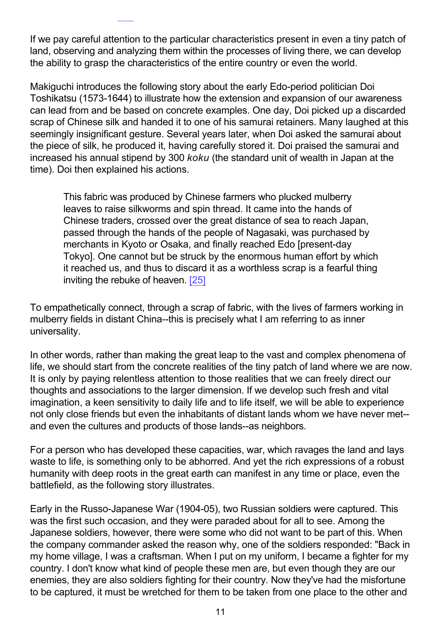If we pay careful attention to the particular characteristics present in even a tiny patch of land, observing and analyzing them within the processes of living there, we can develop the ability to grasp the characteristics of the entire country or even the world.

Makiguchi introduces the following story about the early Edo-period politician Doi Toshikatsu (1573-1644) to illustrate how the extension and expansion of our awareness can lead from and be based on concrete examples. One day, Doi picked up a discarded scrap of Chinese silk and handed it to one of his samurai retainers. Many laughed at this seemingly insignificant gesture. Several years later, when Doi asked the samurai about the piece of silk, he produced it, having carefully stored it. Doi praised the samurai and increased his annual stipend by 300 *koku* (the standard unit of wealth in Japan at the time). Doi then explained his actions.

This fabric was produced by Chinese farmers who plucked mulberry leaves to raise silkworms and spin thread. It came into the hands of Chinese traders, crossed over the great distance of sea to reach Japan, passed through the hands of the people of Nagasaki, was purchased by merchants in Kyoto or Osaka, and finally reached Edo [present-day Tokyo]. One cannot but be struck by the enormous human effort by which it reached us, and thus to discard it as a worthless scrap is a fearful thing inviting the rebuke of heaven. [\[25\]](#page-25-0)

To empathetically connect, through a scrap of fabric, with the lives of farmers working in mulberry fields in distant China--this is precisely what I am referring to as inner universality.

In other words, rather than making the great leap to the vast and complex phenomena of life, we should start from the concrete realities of the tiny patch of land where we are now. It is only by paying relentless attention to those realities that we can freely direct our thoughts and associations to the larger dimension. If we develop such fresh and vital imagination, a keen sensitivity to daily life and to life itself, we will be able to experience not only close friends but even the inhabitants of distant lands whom we have never met- and even the cultures and products of those lands--as neighbors.

For a person who has developed these capacities, war, which ravages the land and lays waste to life, is something only to be abhorred. And yet the rich expressions of a robust humanity with deep roots in the great earth can manifest in any time or place, even the battlefield, as the following story illustrates.

Early in the Russo-Japanese War (1904-05), two Russian soldiers were captured. This was the first such occasion, and they were paraded about for all to see. Among the Japanese soldiers, however, there were some who did not want to be part of this. When the company commander asked the reason why, one of the soldiers responded: "Back in my home village, I was a craftsman. When I put on my uniform, I became a fighter for my country. I don't know what kind of people these men are, but even though they are our enemies, they are also soldiers fighting for their country. Now they've had the misfortune to be captured, it must be wretched for them to be taken from one place to the other and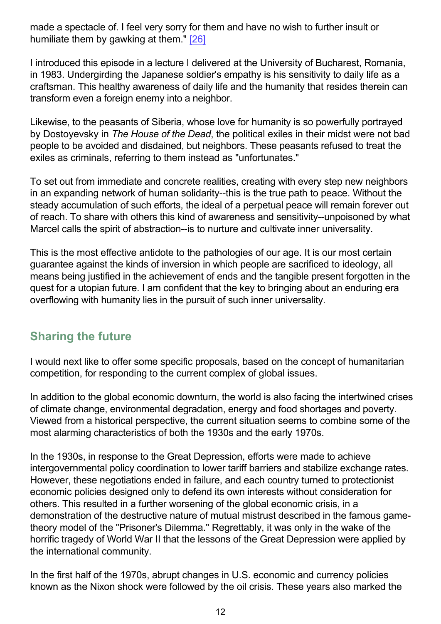made a spectacle of. I feel very sorry for them and have no wish to further insult or humiliate them by gawking at them." [\[26\]](#page-25-0)

I introduced this episode in a lecture I delivered at the University of Bucharest, Romania, in 1983. Undergirding the Japanese soldier's empathy is his sensitivity to daily life as a craftsman. This healthy awareness of daily life and the humanity that resides therein can transform even a foreign enemy into a neighbor.

Likewise, to the peasants of Siberia, whose love for humanity is so powerfully portrayed by Dostoyevsky in *The House of the Dead*, the political exiles in their midst were not bad people to be avoided and disdained, but neighbors. These peasants refused to treat the exiles as criminals, referring to them instead as "unfortunates."

To set out from immediate and concrete realities, creating with every step new neighbors in an expanding network of human solidarity--this is the true path to peace. Without the steady accumulation of such efforts, the ideal of a perpetual peace will remain forever out of reach. To share with others this kind of awareness and sensitivity--unpoisoned by what Marcel calls the spirit of abstraction--is to nurture and cultivate inner universality.

This is the most effective antidote to the pathologies of our age. It is our most certain guarantee against the kinds of inversion in which people are sacrificed to ideology, all means being justified in the achievement of ends and the tangible present forgotten in the quest for a utopian future. I am confident that the key to bringing about an enduring era overflowing with humanity lies in the pursuit of such inner universality.

### Sharing the future

I would next like to offer some specific proposals, based on the concept of humanitarian competition, for responding to the current complex of global issues.

In addition to the global economic downturn, the world is also facing the intertwined crises of climate change, environmental degradation, energy and food shortages and poverty. Viewed from a historical perspective, the current situation seems to combine some of the most alarming characteristics of both the 1930s and the early 1970s.

In the 1930s, in response to the Great Depression, efforts were made to achieve intergovernmental policy coordination to lower tariff barriers and stabilize exchange rates. However, these negotiations ended in failure, and each country turned to protectionist economic policies designed only to defend its own interests without consideration for others. This resulted in a further worsening of the global economic crisis, in a demonstration of the destructive nature of mutual mistrust described in the famous gametheory model of the "Prisoner's Dilemma." Regrettably, it was only in the wake of the horrific tragedy of World War II that the lessons of the Great Depression were applied by the international community.

In the first half of the 1970s, abrupt changes in U.S. economic and currency policies known as the Nixon shock were followed by the oil crisis. These years also marked the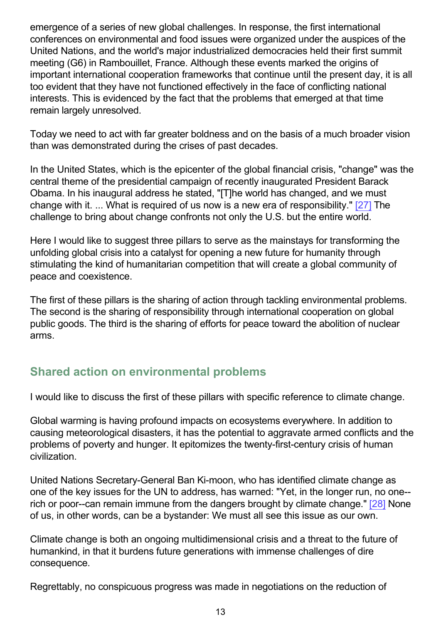emergence of a series of new global challenges. In response, the first international conferences on environmental and food issues were organized under the auspices of the United Nations, and the world's major industrialized democracies held their first summit meeting (G6) in Rambouillet, France. Although these events marked the origins of important international cooperation frameworks that continue until the present day, it is all too evident that they have not functioned effectively in the face of conflicting national interests. This is evidenced by the fact that the problems that emerged at that time remain largely unresolved.

Today we need to act with far greater boldness and on the basis of a much broader vision than was demonstrated during the crises of past decades.

In the United States, which is the epicenter of the global financial crisis, "change" was the central theme of the presidential campaign of recently inaugurated President Barack Obama. In his inaugural address he stated, "[T]he world has changed, and we must change with it. ... What is required of us now is a new era of responsibility." [\[27\]](#page-25-0) The challenge to bring about change confronts not only the U.S. but the entire world.

Here I would like to suggest three pillars to serve as the mainstays for transforming the unfolding global crisis into a catalyst for opening a new future for humanity through stimulating the kind of humanitarian competition that will create a global community of peace and coexistence.

The first of these pillars is the sharing of action through tackling environmental problems. The second is the sharing of responsibility through international cooperation on global public goods. The third is the sharing of efforts for peace toward the abolition of nuclear arms.

## Shared action on environmental problems

I would like to discuss the first of these pillars with specific reference to climate change.

Global warming is having profound impacts on ecosystems everywhere. In addition to causing meteorological disasters, it has the potential to aggravate armed conflicts and the problems of poverty and hunger. It epitomizes the twenty-first-century crisis of human civilization.

United Nations Secretary-General Ban Ki-moon, who has identified climate change as one of the key issues for the UN to address, has warned: "Yet, in the longer run, no one-- rich or poor--can remain immune from the dangers brought by climate change." [\[28\]](#page-25-0) None of us, in other words, can be a bystander: We must all see this issue as our own.

Climate change is both an ongoing multidimensional crisis and a threat to the future of humankind, in that it burdens future generations with immense challenges of dire consequence.

Regrettably, no conspicuous progress was made in negotiations on the reduction of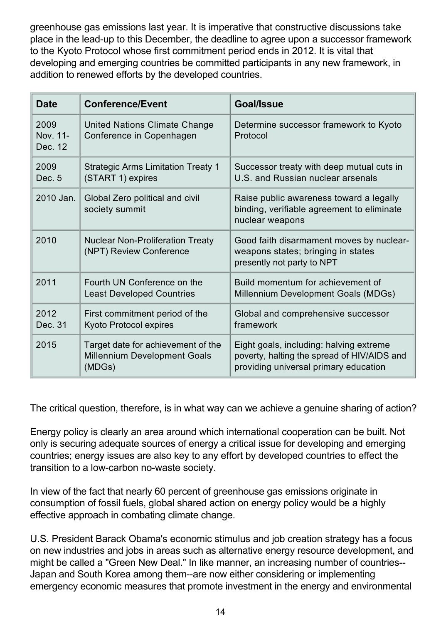greenhouse gas emissions last year. It is imperative that constructive discussions take place in the lead-up to this December, the deadline to agree upon a successor framework to the Kyoto Protocol whose first commitment period ends in 2012. It is vital that developing and emerging countries be committed participants in any new framework, in addition to renewed efforts by the developed countries.

| <b>Date</b>                 | <b>Conference/Event</b>                                                             | <b>Goal/Issue</b>                                                                                                               |
|-----------------------------|-------------------------------------------------------------------------------------|---------------------------------------------------------------------------------------------------------------------------------|
| 2009<br>Nov. 11-<br>Dec. 12 | <b>United Nations Climate Change</b><br>Conference in Copenhagen                    | Determine successor framework to Kyoto<br>Protocol                                                                              |
| 2009<br>Dec. 5              | <b>Strategic Arms Limitation Treaty 1</b><br>(START 1) expires                      | Successor treaty with deep mutual cuts in<br>U.S. and Russian nuclear arsenals                                                  |
| 2010 Jan.                   | Global Zero political and civil<br>society summit                                   | Raise public awareness toward a legally<br>binding, verifiable agreement to eliminate<br>nuclear weapons                        |
| 2010                        | <b>Nuclear Non-Proliferation Treaty</b><br>(NPT) Review Conference                  | Good faith disarmament moves by nuclear-<br>weapons states; bringing in states<br>presently not party to NPT                    |
| 2011                        | Fourth UN Conference on the<br><b>Least Developed Countries</b>                     | Build momentum for achievement of<br>Millennium Development Goals (MDGs)                                                        |
| 2012<br>Dec. 31             | First commitment period of the<br><b>Kyoto Protocol expires</b>                     | Global and comprehensive successor<br>framework                                                                                 |
| 2015                        | Target date for achievement of the<br><b>Millennium Development Goals</b><br>(MDGs) | Eight goals, including: halving extreme<br>poverty, halting the spread of HIV/AIDS and<br>providing universal primary education |

The critical question, therefore, is in what way can we achieve a genuine sharing of action?

Energy policy is clearly an area around which international cooperation can be built. Not only is securing adequate sources of energy a critical issue for developing and emerging countries; energy issues are also key to any effort by developed countries to effect the transition to a low-carbon no-waste society.

In view of the fact that nearly 60 percent of greenhouse gas emissions originate in consumption of fossil fuels, global shared action on energy policy would be a highly effective approach in combating climate change.

U.S. President Barack Obama's economic stimulus and job creation strategy has a focus on new industries and jobs in areas such as alternative energy resource development, and might be called a "Green New Deal." In like manner, an increasing number of countries-- Japan and South Korea among them--are now either considering or implementing emergency economic measures that promote investment in the energy and environmental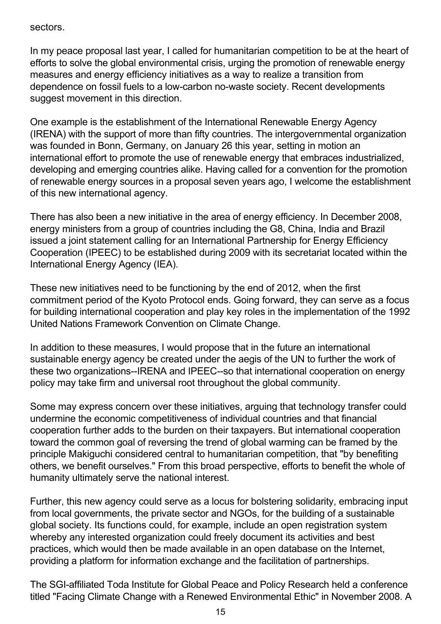#### sectors.

In my peace proposal last year, I called for humanitarian competition to be at the heart of efforts to solve the global environmental crisis, urging the promotion of renewable energy measures and energy efficiency initiatives as a way to realize a transition from dependence on fossil fuels to a low-carbon no-waste society. Recent developments suggest movement in this direction.

One example is the establishment of the International Renewable Energy Agency (IRENA) with the support of more than fifty countries. The intergovernmental organization was founded in Bonn, Germany, on January 26 this year, setting in motion an international effort to promote the use of renewable energy that embraces industrialized, developing and emerging countries alike. Having called for a convention for the promotion of renewable energy sources in a proposal seven years ago, I welcome the establishment of this new international agency.

There has also been a new initiative in the area of energy efficiency. In December 2008, energy ministers from a group of countries including the G8, China, India and Brazil issued a joint statement calling for an International Partnership for Energy Efficiency Cooperation (IPEEC) to be established during 2009 with its secretariat located within the International Energy Agency (IEA).

These new initiatives need to be functioning by the end of 2012, when the first commitment period of the Kyoto Protocol ends. Going forward, they can serve as a focus for building international cooperation and play key roles in the implementation of the 1992 United Nations Framework Convention on Climate Change.

In addition to these measures, I would propose that in the future an international sustainable energy agency be created under the aegis of the UN to further the work of these two organizations--IRENA and IPEEC--so that international cooperation on energy policy may take firm and universal root throughout the global community.

Some may express concern over these initiatives, arguing that technology transfer could undermine the economic competitiveness of individual countries and that financial cooperation further adds to the burden on their taxpayers. But international cooperation toward the common goal of reversing the trend of global warming can be framed by the principle Makiguchi considered central to humanitarian competition, that "by benefiting others, we benefit ourselves." From this broad perspective, efforts to benefit the whole of humanity ultimately serve the national interest.

Further, this new agency could serve as a locus for bolstering solidarity, embracing input from local governments, the private sector and NGOs, for the building of a sustainable global society. Its functions could, for example, include an open registration system whereby any interested organization could freely document its activities and best practices, which would then be made available in an open database on the Internet, providing a platform for information exchange and the facilitation of partnerships.

The SGI-affiliated Toda Institute for Global Peace and Policy Research held a conference titled "Facing Climate Change with a Renewed Environmental Ethic" in November 2008. A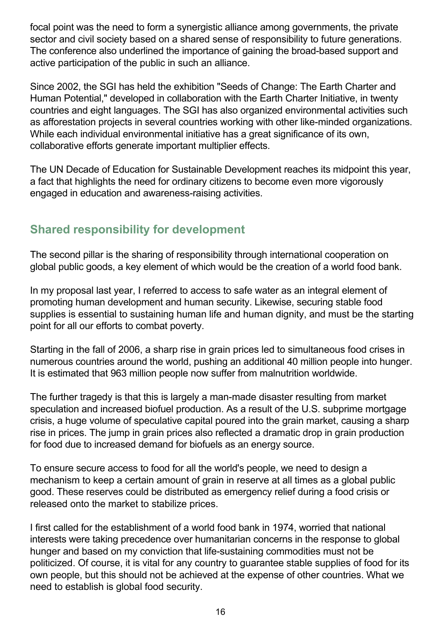focal point was the need to form a synergistic alliance among governments, the private sector and civil society based on a shared sense of responsibility to future generations. The conference also underlined the importance of gaining the broad-based support and active participation of the public in such an alliance.

Since 2002, the SGI has held the exhibition "Seeds of Change: The Earth Charter and Human Potential," developed in collaboration with the Earth Charter Initiative, in twenty countries and eight languages. The SGI has also organized environmental activities such as afforestation projects in several countries working with other like-minded organizations. While each individual environmental initiative has a great significance of its own, collaborative efforts generate important multiplier effects.

The UN Decade of Education for Sustainable Development reaches its midpoint this year, a fact that highlights the need for ordinary citizens to become even more vigorously engaged in education and awareness-raising activities.

## Shared responsibility for development

The second pillar is the sharing of responsibility through international cooperation on global public goods, a key element of which would be the creation of a world food bank.

In my proposal last year, I referred to access to safe water as an integral element of promoting human development and human security. Likewise, securing stable food supplies is essential to sustaining human life and human dignity, and must be the starting point for all our efforts to combat poverty.

Starting in the fall of 2006, a sharp rise in grain prices led to simultaneous food crises in numerous countries around the world, pushing an additional 40 million people into hunger. It is estimated that 963 million people now suffer from malnutrition worldwide.

The further tragedy is that this is largely a man-made disaster resulting from market speculation and increased biofuel production. As a result of the U.S. subprime mortgage crisis, a huge volume of speculative capital poured into the grain market, causing a sharp rise in prices. The jump in grain prices also reflected a dramatic drop in grain production for food due to increased demand for biofuels as an energy source.

To ensure secure access to food for all the world's people, we need to design a mechanism to keep a certain amount of grain in reserve at all times as a global public good. These reserves could be distributed as emergency relief during a food crisis or released onto the market to stabilize prices.

I first called for the establishment of a world food bank in 1974, worried that national interests were taking precedence over humanitarian concerns in the response to global hunger and based on my conviction that life-sustaining commodities must not be politicized. Of course, it is vital for any country to guarantee stable supplies of food for its own people, but this should not be achieved at the expense of other countries. What we need to establish is global food security.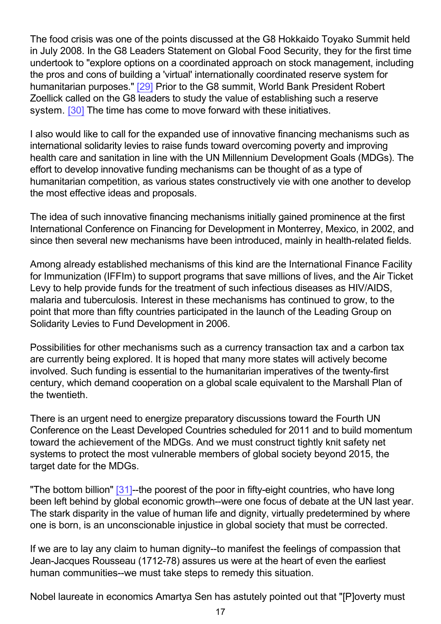The food crisis was one of the points discussed at the G8 Hokkaido Toyako Summit held in July 2008. In the G8 Leaders Statement on Global Food Security, they for the first time undertook to "explore options on a coordinated approach on stock management, including the pros and cons of building a 'virtual' internationally coordinated reserve system for humanitarian purposes." [\[29\]](#page-25-0) Prior to the G8 summit, World Bank President Robert Zoellick called on the G8 leaders to study the value of establishing such a reserve system. [\[30\]](#page-25-0) The time has come to move forward with these initiatives.

I also would like to call for the expanded use of innovative financing mechanisms such as international solidarity levies to raise funds toward overcoming poverty and improving health care and sanitation in line with the UN Millennium Development Goals (MDGs). The effort to develop innovative funding mechanisms can be thought of as a type of humanitarian competition, as various states constructively vie with one another to develop the most effective ideas and proposals.

The idea of such innovative financing mechanisms initially gained prominence at the first International Conference on Financing for Development in Monterrey, Mexico, in 2002, and since then several new mechanisms have been introduced, mainly in health-related fields.

Among already established mechanisms of this kind are the International Finance Facility for Immunization (IFFIm) to support programs that save millions of lives, and the Air Ticket Levy to help provide funds for the treatment of such infectious diseases as HIV/AIDS, malaria and tuberculosis. Interest in these mechanisms has continued to grow, to the point that more than fifty countries participated in the launch of the Leading Group on Solidarity Levies to Fund Development in 2006.

Possibilities for other mechanisms such as a currency transaction tax and a carbon tax are currently being explored. It is hoped that many more states will actively become involved. Such funding is essential to the humanitarian imperatives of the twenty-first century, which demand cooperation on a global scale equivalent to the Marshall Plan of the twentieth.

There is an urgent need to energize preparatory discussions toward the Fourth UN Conference on the Least Developed Countries scheduled for 2011 and to build momentum toward the achievement of the MDGs. And we must construct tightly knit safety net systems to protect the most vulnerable members of global society beyond 2015, the target date for the MDGs.

"The bottom billion" [\[31\]-](#page-25-0)-the poorest of the poor in fifty-eight countries, who have long been left behind by global economic growth--were one focus of debate at the UN last year. The stark disparity in the value of human life and dignity, virtually predetermined by where one is born, is an unconscionable injustice in global society that must be corrected.

If we are to lay any claim to human dignity--to manifest the feelings of compassion that Jean-Jacques Rousseau (1712-78) assures us were at the heart of even the earliest human communities--we must take steps to remedy this situation.

Nobel laureate in economics Amartya Sen has astutely pointed out that "[P]overty must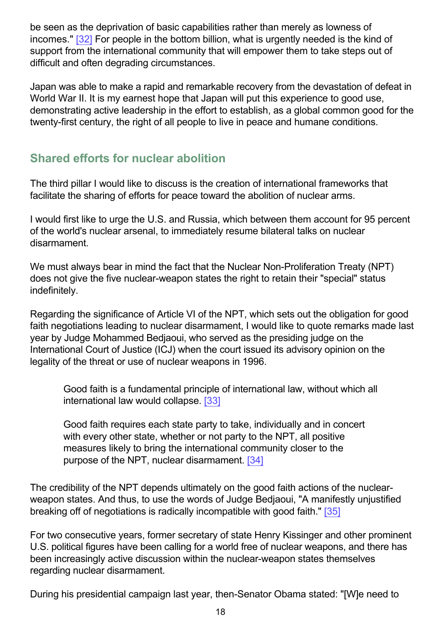be seen as the deprivation of basic capabilities rather than merely as lowness of incomes." [\[32\]](#page-25-0) For people in the bottom billion, what is urgently needed is the kind of support from the international community that will empower them to take steps out of difficult and often degrading circumstances.

Japan was able to make a rapid and remarkable recovery from the devastation of defeat in World War II. It is my earnest hope that Japan will put this experience to good use, demonstrating active leadership in the effort to establish, as a global common good for the twenty-first century, the right of all people to live in peace and humane conditions.

### Shared efforts for nuclear abolition

The third pillar I would like to discuss is the creation of international frameworks that facilitate the sharing of efforts for peace toward the abolition of nuclear arms.

I would first like to urge the U.S. and Russia, which between them account for 95 percent of the world's nuclear arsenal, to immediately resume bilateral talks on nuclear disarmament.

We must always bear in mind the fact that the Nuclear Non-Proliferation Treaty (NPT) does not give the five nuclear-weapon states the right to retain their "special" status indefinitely.

Regarding the significance of Article VI of the NPT, which sets out the obligation for good faith negotiations leading to nuclear disarmament, I would like to quote remarks made last year by Judge Mohammed Bedjaoui, who served as the presiding judge on the International Court of Justice (ICJ) when the court issued its advisory opinion on the legality of the threat or use of nuclear weapons in 1996.

Good faith is a fundamental principle of international law, without which all international law would collapse. [\[33\]](#page-25-0)

Good faith requires each state party to take, individually and in concert with every other state, whether or not party to the NPT, all positive measures likely to bring the international community closer to the purpose of the NPT, nuclear disarmament. [\[34\]](#page-25-0)

The credibility of the NPT depends ultimately on the good faith actions of the nuclearweapon states. And thus, to use the words of Judge Bedjaoui, "A manifestly unjustified breaking off of negotiations is radically incompatible with good faith." [\[35\]](#page-25-0)

For two consecutive years, former secretary of state Henry Kissinger and other prominent U.S. political figures have been calling for a world free of nuclear weapons, and there has been increasingly active discussion within the nuclear-weapon states themselves regarding nuclear disarmament.

During his presidential campaign last year, then-Senator Obama stated: "[W]e need to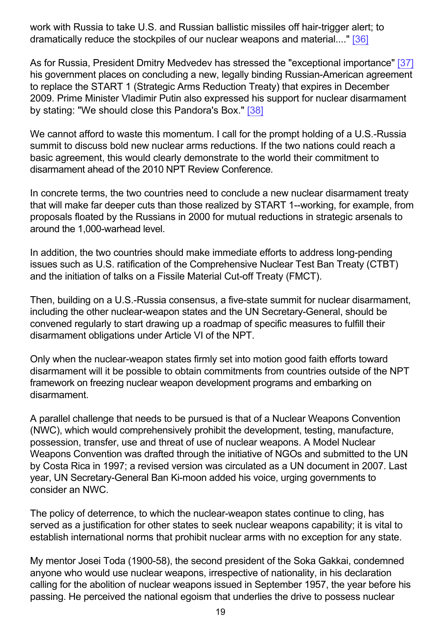work with Russia to take U.S. and Russian ballistic missiles off hair-trigger alert; to dramatically reduce the stockpiles of our nuclear weapons and material...." [\[36\]](#page-25-0)

As for Russia, President Dmitry Medvedev has stressed the "exceptional importance" [\[37\]](#page-25-0) his government places on concluding a new, legally binding Russian-American agreement to replace the START 1 (Strategic Arms Reduction Treaty) that expires in December 2009. Prime Minister Vladimir Putin also expressed his support for nuclear disarmament by stating: "We should close this Pandora's Box." [\[38\]](#page-25-0)

We cannot afford to waste this momentum. I call for the prompt holding of a U.S.-Russia summit to discuss bold new nuclear arms reductions. If the two nations could reach a basic agreement, this would clearly demonstrate to the world their commitment to disarmament ahead of the 2010 NPT Review Conference.

In concrete terms, the two countries need to conclude a new nuclear disarmament treaty that will make far deeper cuts than those realized by START 1--working, for example, from proposals floated by the Russians in 2000 for mutual reductions in strategic arsenals to around the 1,000-warhead level.

In addition, the two countries should make immediate efforts to address long-pending issues such as U.S. ratification of the Comprehensive Nuclear Test Ban Treaty (CTBT) and the initiation of talks on a Fissile Material Cut-off Treaty (FMCT).

Then, building on a U.S.-Russia consensus, a five-state summit for nuclear disarmament, including the other nuclear-weapon states and the UN Secretary-General, should be convened regularly to start drawing up a roadmap of specific measures to fulfill their disarmament obligations under Article VI of the NPT.

Only when the nuclear-weapon states firmly set into motion good faith efforts toward disarmament will it be possible to obtain commitments from countries outside of the NPT framework on freezing nuclear weapon development programs and embarking on disarmament.

A parallel challenge that needs to be pursued is that of a Nuclear Weapons Convention (NWC), which would comprehensively prohibit the development, testing, manufacture, possession, transfer, use and threat of use of nuclear weapons. A Model Nuclear Weapons Convention was drafted through the initiative of NGOs and submitted to the UN by Costa Rica in 1997; a revised version was circulated as a UN document in 2007. Last year, UN Secretary-General Ban Ki-moon added his voice, urging governments to consider an NWC.

The policy of deterrence, to which the nuclear-weapon states continue to cling, has served as a justification for other states to seek nuclear weapons capability; it is vital to establish international norms that prohibit nuclear arms with no exception for any state.

My mentor Josei Toda (1900-58), the second president of the Soka Gakkai, condemned anyone who would use nuclear weapons, irrespective of nationality, in his declaration calling for the abolition of nuclear weapons issued in September 1957, the year before his passing. He perceived the national egoism that underlies the drive to possess nuclear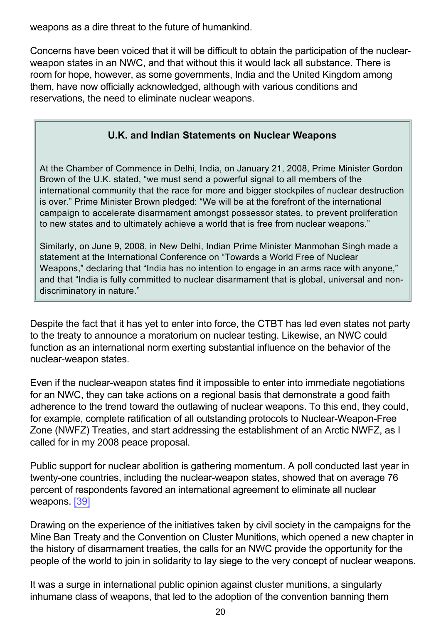weapons as a dire threat to the future of humankind.

Concerns have been voiced that it will be difficult to obtain the participation of the nuclearweapon states in an NWC, and that without this it would lack all substance. There is room for hope, however, as some governments, India and the United Kingdom among them, have now officially acknowledged, although with various conditions and reservations, the need to eliminate nuclear weapons.

### U.K. and Indian Statements on Nuclear Weapons

At the Chamber of Commence in Delhi, India, on January 21, 2008, Prime Minister Gordon Brown of the U.K. stated, "we must send a powerful signal to all members of the international community that the race for more and bigger stockpiles of nuclear destruction is over." Prime Minister Brown pledged: "We will be at the forefront of the international campaign to accelerate disarmament amongst possessor states, to prevent proliferation to new states and to ultimately achieve a world that is free from nuclear weapons."

Similarly, on June 9, 2008, in New Delhi, Indian Prime Minister Manmohan Singh made a statement at the International Conference on "Towards a World Free of Nuclear Weapons," declaring that "India has no intention to engage in an arms race with anyone," and that "India is fully committed to nuclear disarmament that is global, universal and nondiscriminatory in nature."

Despite the fact that it has yet to enter into force, the CTBT has led even states not party to the treaty to announce a moratorium on nuclear testing. Likewise, an NWC could function as an international norm exerting substantial influence on the behavior of the nuclear-weapon states.

Even if the nuclear-weapon states find it impossible to enter into immediate negotiations for an NWC, they can take actions on a regional basis that demonstrate a good faith adherence to the trend toward the outlawing of nuclear weapons. To this end, they could, for example, complete ratification of all outstanding protocols to Nuclear-Weapon-Free Zone (NWFZ) Treaties, and start addressing the establishment of an Arctic NWFZ, as I called for in my 2008 peace proposal.

Public support for nuclear abolition is gathering momentum. A poll conducted last year in twenty-one countries, including the nuclear-weapon states, showed that on average 76 percent of respondents favored an international agreement to eliminate all nuclear weapons. [\[39\]](#page-25-0)

Drawing on the experience of the initiatives taken by civil society in the campaigns for the Mine Ban Treaty and the Convention on Cluster Munitions, which opened a new chapter in the history of disarmament treaties, the calls for an NWC provide the opportunity for the people of the world to join in solidarity to lay siege to the very concept of nuclear weapons.

It was a surge in international public opinion against cluster munitions, a singularly inhumane class of weapons, that led to the adoption of the convention banning them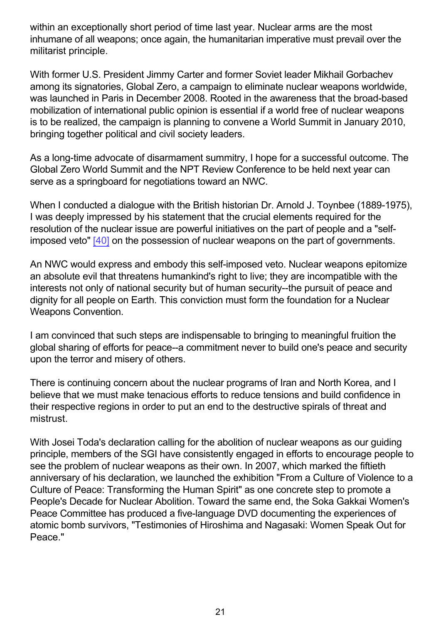within an exceptionally short period of time last year. Nuclear arms are the most inhumane of all weapons; once again, the humanitarian imperative must prevail over the militarist principle.

With former U.S. President Jimmy Carter and former Soviet leader Mikhail Gorbachev among its signatories, Global Zero, a campaign to eliminate nuclear weapons worldwide, was launched in Paris in December 2008. Rooted in the awareness that the broad-based mobilization of international public opinion is essential if a world free of nuclear weapons is to be realized, the campaign is planning to convene a World Summit in January 2010, bringing together political and civil society leaders.

As a long-time advocate of disarmament summitry, I hope for a successful outcome. The Global Zero World Summit and the NPT Review Conference to be held next year can serve as a springboard for negotiations toward an NWC.

When I conducted a dialogue with the British historian Dr. Arnold J. Toynbee (1889-1975), I was deeply impressed by his statement that the crucial elements required for the resolution of the nuclear issue are powerful initiatives on the part of people and a "selfimposed veto" [\[40\]](#page-25-0) on the possession of nuclear weapons on the part of governments.

An NWC would express and embody this self-imposed veto. Nuclear weapons epitomize an absolute evil that threatens humankind's right to live; they are incompatible with the interests not only of national security but of human security--the pursuit of peace and dignity for all people on Earth. This conviction must form the foundation for a Nuclear Weapons Convention.

I am convinced that such steps are indispensable to bringing to meaningful fruition the global sharing of efforts for peace--a commitment never to build one's peace and security upon the terror and misery of others.

There is continuing concern about the nuclear programs of Iran and North Korea, and I believe that we must make tenacious efforts to reduce tensions and build confidence in their respective regions in order to put an end to the destructive spirals of threat and mistrust.

With Josei Toda's declaration calling for the abolition of nuclear weapons as our guiding principle, members of the SGI have consistently engaged in efforts to encourage people to see the problem of nuclear weapons as their own. In 2007, which marked the fiftieth anniversary of his declaration, we launched the exhibition "From a Culture of Violence to a Culture of Peace: Transforming the Human Spirit" as one concrete step to promote a People's Decade for Nuclear Abolition. Toward the same end, the Soka Gakkai Women's Peace Committee has produced a five-language DVD documenting the experiences of atomic bomb survivors, "Testimonies of Hiroshima and Nagasaki: Women Speak Out for Peace."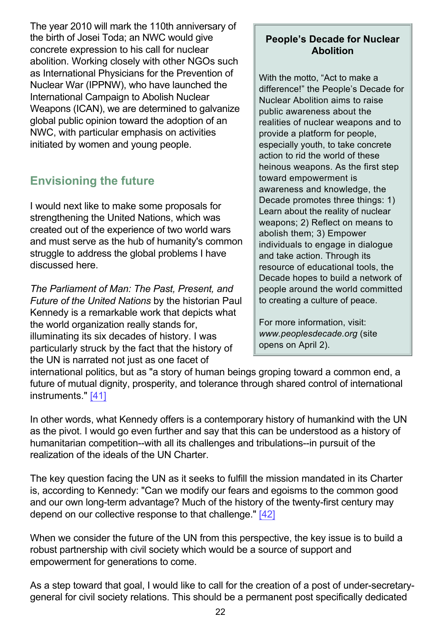The year 2010 will mark the 110th anniversary of the birth of Josei Toda; an NWC would give concrete expression to his call for nuclear abolition. Working closely with other NGOs such as International Physicians for the Prevention of Nuclear War (IPPNW), who have launched the International Campaign to Abolish Nuclear Weapons (ICAN), we are determined to galvanize global public opinion toward the adoption of an NWC, with particular emphasis on activities initiated by women and young people.

## Envisioning the future

I would next like to make some proposals for strengthening the United Nations, which was created out of the experience of two world wars and must serve as the hub of humanity's common struggle to address the global problems I have discussed here.

*The Parliament of Man: The Past, Present, and Future of the United Nations* by the historian Paul Kennedy is a remarkable work that depicts what the world organization really stands for, illuminating its six decades of history. I was particularly struck by the fact that the history of the UN is narrated not just as one facet of

#### People's Decade for Nuclear Abolition

With the motto, "Act to make a difference!" the People's Decade for Nuclear Abolition aims to raise public awareness about the realities of nuclear weapons and to provide a platform for people, especially youth, to take concrete action to rid the world of these heinous weapons. As the first step toward empowerment is awareness and knowledge, the Decade promotes three things: 1) Learn about the reality of nuclear weapons; 2) Reflect on means to abolish them; 3) Empower individuals to engage in dialogue and take action. Through its resource of educational tools, the Decade hopes to build a network of people around the world committed to creating a culture of peace.

For more information, visit: *www.peoplesdecade.org* (site opens on April 2).

international politics, but as "a story of human beings groping toward a common end, a future of mutual dignity, prosperity, and tolerance through shared control of international instruments." [\[41\]](#page-25-0)

In other words, what Kennedy offers is a contemporary history of humankind with the UN as the pivot. I would go even further and say that this can be understood as a history of humanitarian competition--with all its challenges and tribulations--in pursuit of the realization of the ideals of the UN Charter.

The key question facing the UN as it seeks to fulfill the mission mandated in its Charter is, according to Kennedy: "Can we modify our fears and egoisms to the common good and our own long-term advantage? Much of the history of the twenty-first century may depend on our collective response to that challenge." [\[42\]](#page-25-0)

When we consider the future of the UN from this perspective, the key issue is to build a robust partnership with civil society which would be a source of support and empowerment for generations to come.

As a step toward that goal, I would like to call for the creation of a post of under-secretarygeneral for civil society relations. This should be a permanent post specifically dedicated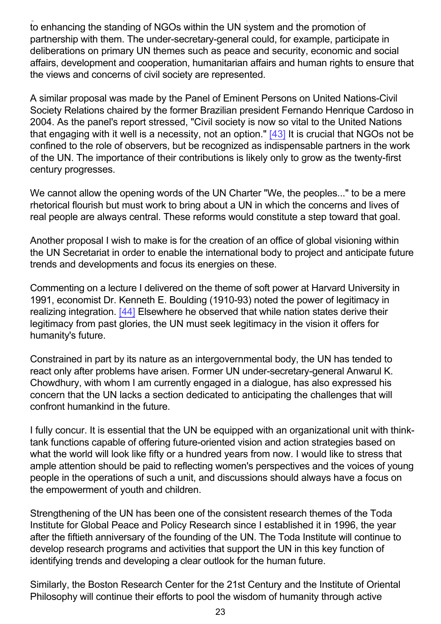general for civil society relations. This should be a permanent post specifically dedicated be a permanent pos<br>This should be a permanent post specifically dedicated be a permanent post specifically dedicated be a permane to enhancing the standing of NGOs within the UN system and the promotion of partnership with them. The under-secretary-general could, for example, participate in deliberations on primary UN themes such as peace and security, economic and social affairs, development and cooperation, humanitarian affairs and human rights to ensure that the views and concerns of civil society are represented.

A similar proposal was made by the Panel of Eminent Persons on United Nations-Civil Society Relations chaired by the former Brazilian president Fernando Henrique Cardoso in 2004. As the panel's report stressed, "Civil society is now so vital to the United Nations that engaging with it well is a necessity, not an option." [\[43\]](#page-25-0) It is crucial that NGOs not be confined to the role of observers, but be recognized as indispensable partners in the work of the UN. The importance of their contributions is likely only to grow as the twenty-first century progresses.

We cannot allow the opening words of the UN Charter "We, the peoples..." to be a mere rhetorical flourish but must work to bring about a UN in which the concerns and lives of real people are always central. These reforms would constitute a step toward that goal.

Another proposal I wish to make is for the creation of an office of global visioning within the UN Secretariat in order to enable the international body to project and anticipate future trends and developments and focus its energies on these.

Commenting on a lecture I delivered on the theme of soft power at Harvard University in 1991, economist Dr. Kenneth E. Boulding (1910-93) noted the power of legitimacy in realizing integration. [\[44\]](#page-25-0) Elsewhere he observed that while nation states derive their legitimacy from past glories, the UN must seek legitimacy in the vision it offers for humanity's future.

Constrained in part by its nature as an intergovernmental body, the UN has tended to react only after problems have arisen. Former UN under-secretary-general Anwarul K. Chowdhury, with whom I am currently engaged in a dialogue, has also expressed his concern that the UN lacks a section dedicated to anticipating the challenges that will confront humankind in the future.

I fully concur. It is essential that the UN be equipped with an organizational unit with thinktank functions capable of offering future-oriented vision and action strategies based on what the world will look like fifty or a hundred years from now. I would like to stress that ample attention should be paid to reflecting women's perspectives and the voices of young people in the operations of such a unit, and discussions should always have a focus on the empowerment of youth and children.

Strengthening of the UN has been one of the consistent research themes of the Toda Institute for Global Peace and Policy Research since I established it in 1996, the year after the fiftieth anniversary of the founding of the UN. The Toda Institute will continue to develop research programs and activities that support the UN in this key function of identifying trends and developing a clear outlook for the human future.

Similarly, the Boston Research Center for the 21st Century and the Institute of Oriental Philosophy will continue their efforts to pool the wisdom of humanity through active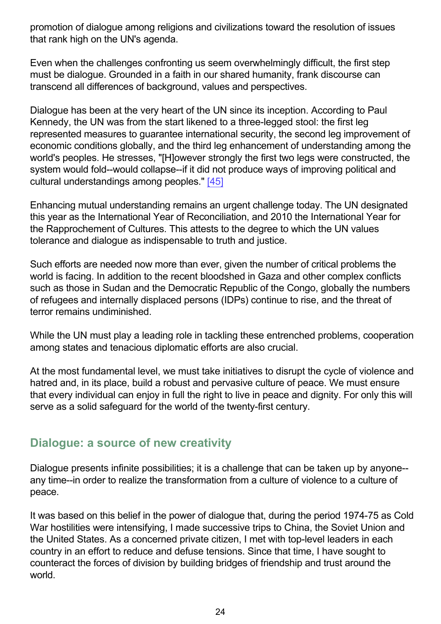promotion of dialogue among religions and civilizations toward the resolution of issues that rank high on the UN's agenda.

Even when the challenges confronting us seem overwhelmingly difficult, the first step must be dialogue. Grounded in a faith in our shared humanity, frank discourse can transcend all differences of background, values and perspectives.

Dialogue has been at the very heart of the UN since its inception. According to Paul Kennedy, the UN was from the start likened to a three-legged stool: the first leg represented measures to guarantee international security, the second leg improvement of economic conditions globally, and the third leg enhancement of understanding among the world's peoples. He stresses, "[H]owever strongly the first two legs were constructed, the system would fold--would collapse--if it did not produce ways of improving political and cultural understandings among peoples." [\[45\]](#page-25-0)

Enhancing mutual understanding remains an urgent challenge today. The UN designated this year as the International Year of Reconciliation, and 2010 the International Year for the Rapprochement of Cultures. This attests to the degree to which the UN values tolerance and dialogue as indispensable to truth and justice.

Such efforts are needed now more than ever, given the number of critical problems the world is facing. In addition to the recent bloodshed in Gaza and other complex conflicts such as those in Sudan and the Democratic Republic of the Congo, globally the numbers of refugees and internally displaced persons (IDPs) continue to rise, and the threat of terror remains undiminished.

While the UN must play a leading role in tackling these entrenched problems, cooperation among states and tenacious diplomatic efforts are also crucial.

At the most fundamental level, we must take initiatives to disrupt the cycle of violence and hatred and, in its place, build a robust and pervasive culture of peace. We must ensure that every individual can enjoy in full the right to live in peace and dignity. For only this will serve as a solid safeguard for the world of the twenty-first century.

### Dialogue: a source of new creativity

Dialogue presents infinite possibilities; it is a challenge that can be taken up by anyone- any time--in order to realize the transformation from a culture of violence to a culture of peace.

It was based on this belief in the power of dialogue that, during the period 1974-75 as Cold War hostilities were intensifying, I made successive trips to China, the Soviet Union and the United States. As a concerned private citizen, I met with top-level leaders in each country in an effort to reduce and defuse tensions. Since that time, I have sought to counteract the forces of division by building bridges of friendship and trust around the world.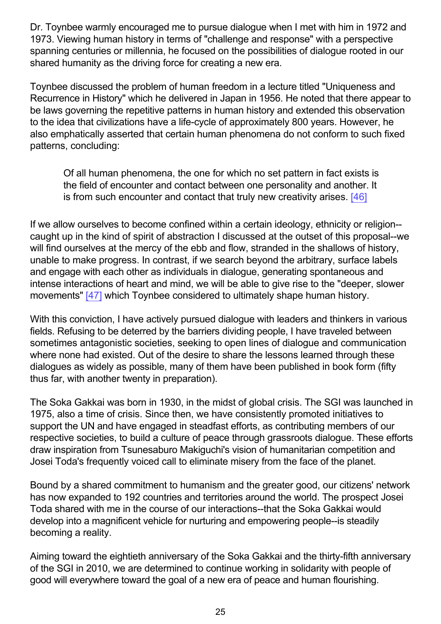Dr. Toynbee warmly encouraged me to pursue dialogue when I met with him in 1972 and 1973. Viewing human history in terms of "challenge and response" with a perspective spanning centuries or millennia, he focused on the possibilities of dialogue rooted in our shared humanity as the driving force for creating a new era.

Toynbee discussed the problem of human freedom in a lecture titled "Uniqueness and Recurrence in History" which he delivered in Japan in 1956. He noted that there appear to be laws governing the repetitive patterns in human history and extended this observation to the idea that civilizations have a life-cycle of approximately 800 years. However, he also emphatically asserted that certain human phenomena do not conform to such fixed patterns, concluding:

Of all human phenomena, the one for which no set pattern in fact exists is the field of encounter and contact between one personality and another. It is from such encounter and contact that truly new creativity arises. [\[46\]](#page-25-0)

If we allow ourselves to become confined within a certain ideology, ethnicity or religion- caught up in the kind of spirit of abstraction I discussed at the outset of this proposal--we will find ourselves at the mercy of the ebb and flow, stranded in the shallows of history, unable to make progress. In contrast, if we search beyond the arbitrary, surface labels and engage with each other as individuals in dialogue, generating spontaneous and intense interactions of heart and mind, we will be able to give rise to the "deeper, slower movements" [\[47\]](#page-25-0) which Toynbee considered to ultimately shape human history.

With this conviction, I have actively pursued dialogue with leaders and thinkers in various fields. Refusing to be deterred by the barriers dividing people, I have traveled between sometimes antagonistic societies, seeking to open lines of dialogue and communication where none had existed. Out of the desire to share the lessons learned through these dialogues as widely as possible, many of them have been published in book form (fifty thus far, with another twenty in preparation).

The Soka Gakkai was born in 1930, in the midst of global crisis. The SGI was launched in 1975, also a time of crisis. Since then, we have consistently promoted initiatives to support the UN and have engaged in steadfast efforts, as contributing members of our respective societies, to build a culture of peace through grassroots dialogue. These efforts draw inspiration from Tsunesaburo Makiguchi's vision of humanitarian competition and Josei Toda's frequently voiced call to eliminate misery from the face of the planet.

Bound by a shared commitment to humanism and the greater good, our citizens' network has now expanded to 192 countries and territories around the world. The prospect Josei Toda shared with me in the course of our interactions--that the Soka Gakkai would develop into a magnificent vehicle for nurturing and empowering people--is steadily becoming a reality.

Aiming toward the eightieth anniversary of the Soka Gakkai and the thirty-fifth anniversary of the SGI in 2010, we are determined to continue working in solidarity with people of good will everywhere toward the goal of a new era of peace and human flourishing.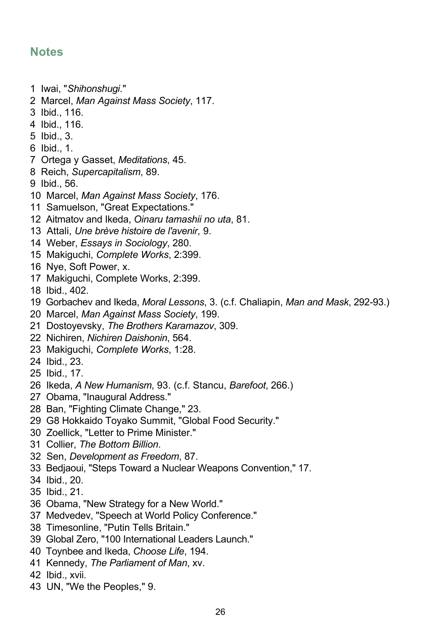### <span id="page-25-0"></span>Notes

- 1 Iwai, "*Shihonshugi*."
- 2 Marcel, *Man Against Mass Society*, 117.
- 3 Ibid., 116.
- 4 Ibid., 116.
- 5 Ibid., 3.
- 6 Ibid., 1.
- 7 Ortega y Gasset, *Meditations*, 45.
- 8 Reich, *Supercapitalism*, 89.
- 9 Ibid., 56.
- 10 Marcel, *Man Against Mass Society*, 176.
- 11 Samuelson, "Great Expectations."
- 12 Aitmatov and Ikeda, *Oinaru tamashii no uta*, 81.
- 13 Attali, *Une brève histoire de l'avenir*, 9.
- 14 Weber, *Essays in Sociology*, 280.
- 15 Makiguchi, *Complete Works*, 2:399.
- 16 Nye, Soft Power, x.
- 17 Makiguchi, Complete Works, 2:399.
- 18 Ibid., 402.
- 19 Gorbachev and Ikeda, *Moral Lessons*, 3. (c.f. Chaliapin, *Man and Mask*, 292-93.)
- 20 Marcel, *Man Against Mass Society*, 199.
- 21 Dostoyevsky, *The Brothers Karamazov*, 309.
- 22 Nichiren, *Nichiren Daishonin*, 564.
- 23 Makiguchi, *Complete Works*, 1:28.
- 24 Ibid., 23.
- 25 Ibid., 17.
- 26 Ikeda, *A New Humanism*, 93. (c.f. Stancu, *Barefoot*, 266.)
- 27 Obama, "Inaugural Address."
- 28 Ban, "Fighting Climate Change," 23.
- 29 G8 Hokkaido Toyako Summit, "Global Food Security."
- 30 Zoellick, "Letter to Prime Minister."
- 31 Collier, *The Bottom Billion*.
- 32 Sen, *Development as Freedom*, 87.
- 33 Bedjaoui, "Steps Toward a Nuclear Weapons Convention," 17.
- 34 Ibid., 20.
- 35 Ibid., 21.
- 36 Obama, "New Strategy for a New World."
- 37 Medvedev, "Speech at World Policy Conference."
- 38 Timesonline, "Putin Tells Britain."
- 39 Global Zero, "100 International Leaders Launch."
- 40 Toynbee and Ikeda, *Choose Life*, 194.
- 41 Kennedy, *The Parliament of Man*, xv.
- 42 Ibid., xvii.
- 43 UN, "We the Peoples," 9.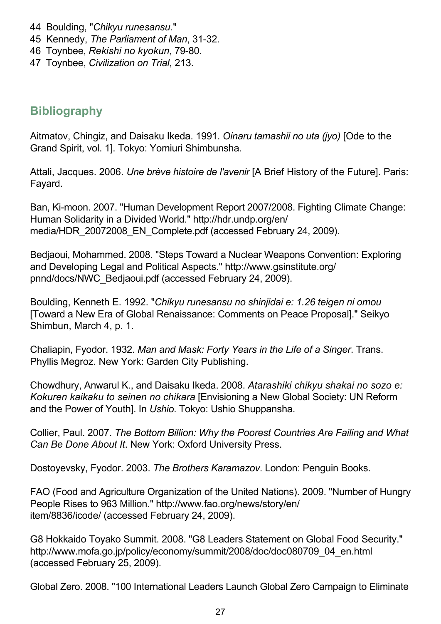- 44 Boulding, "*Chikyu runesansu*."
- 45 Kennedy, *The Parliament of Man*, 31-32.
- 46 Toynbee, *Rekishi no kyokun*, 79-80.
- 47 Toynbee, *Civilization on Trial*, 213.

### **Bibliography**

Aitmatov, Chingiz, and Daisaku Ikeda. 1991. *Oinaru tamashii no uta (jyo)* [Ode to the Grand Spirit, vol. 1]. Tokyo: Yomiuri Shimbunsha.

Attali, Jacques. 2006. *Une brève histoire de l'avenir* [A Brief History of the Future]. Paris: Fayard.

Ban, Ki-moon. 2007. "Human Development Report 2007/2008. Fighting Climate Change: Human Solidarity in a Divided World." http://hdr.undp.org/en/ media/HDR\_20072008\_EN\_Complete.pdf (accessed February 24, 2009).

Bedjaoui, Mohammed. 2008. "Steps Toward a Nuclear Weapons Convention: Exploring and Developing Legal and Political Aspects." http://www.gsinstitute.org/ pnnd/docs/NWC\_Bedjaoui.pdf (accessed February 24, 2009).

Boulding, Kenneth E. 1992. "*Chikyu runesansu no shinjidai e: 1.26 teigen ni omou* [Toward a New Era of Global Renaissance: Comments on Peace Proposal]." Seikyo Shimbun, March 4, p. 1.

Chaliapin, Fyodor. 1932. *Man and Mask: Forty Years in the Life of a Singer*. Trans. Phyllis Megroz. New York: Garden City Publishing.

Chowdhury, Anwarul K., and Daisaku Ikeda. 2008. *Atarashiki chikyu shakai no sozo e: Kokuren kaikaku to seinen no chikara* [Envisioning a New Global Society: UN Reform and the Power of Youth]. In *Ushio*. Tokyo: Ushio Shuppansha.

Collier, Paul. 2007. *The Bottom Billion: Why the Poorest Countries Are Failing and What Can Be Done About It*. New York: Oxford University Press.

Dostoyevsky, Fyodor. 2003. *The Brothers Karamazov*. London: Penguin Books.

FAO (Food and Agriculture Organization of the United Nations). 2009. "Number of Hungry People Rises to 963 Million." http://www.fao.org/news/story/en/ item/8836/icode/ (accessed February 24, 2009).

G8 Hokkaido Toyako Summit. 2008. "G8 Leaders Statement on Global Food Security." http://www.mofa.go.jp/policy/economy/summit/2008/doc/doc080709\_04\_en.html (accessed February 25, 2009).

Global Zero. 2008. "100 International Leaders Launch Global Zero Campaign to Eliminate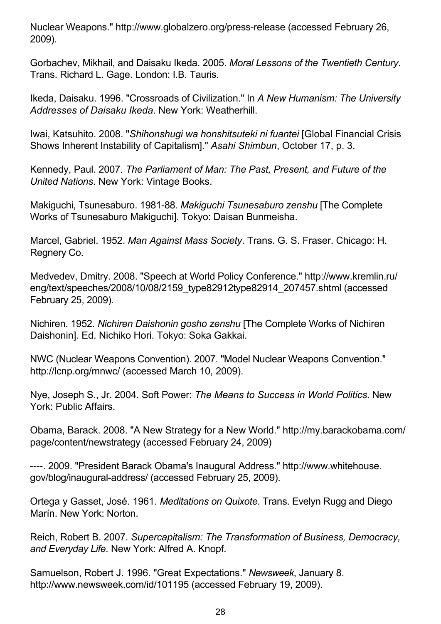Nuclear Weapons." http://www.globalzero.org/press-release (accessed February 26, 2009).

Gorbachev, Mikhail, and Daisaku Ikeda. 2005. *Moral Lessons of the Twentieth Century*. Trans. Richard L. Gage. London: I.B. Tauris.

Ikeda, Daisaku. 1996. "Crossroads of Civilization." In *A New Humanism: The University Addresses of Daisaku Ikeda*. New York: Weatherhill.

Iwai, Katsuhito. 2008. "*Shihonshugi wa honshitsuteki ni fuantei* [Global Financial Crisis Shows Inherent Instability of Capitalism]." *Asahi Shimbun*, October 17, p. 3.

Kennedy, Paul. 2007. *The Parliament of Man: The Past, Present, and Future of the United Nations*. New York: Vintage Books.

Makiguchi, Tsunesaburo. 1981-88. *Makiguchi Tsunesaburo zenshu* [The Complete Works of Tsunesaburo Makiguchi]. Tokyo: Daisan Bunmeisha.

Marcel, Gabriel. 1952. *Man Against Mass Society*. Trans. G. S. Fraser. Chicago: H. Regnery Co.

Medvedev, Dmitry. 2008. "Speech at World Policy Conference." http://www.kremlin.ru/ eng/text/speeches/2008/10/08/2159\_type82912type82914\_207457.shtml (accessed February 25, 2009).

Nichiren. 1952. *Nichiren Daishonin gosho zenshu* [The Complete Works of Nichiren Daishonin]. Ed. Nichiko Hori. Tokyo: Soka Gakkai.

NWC (Nuclear Weapons Convention). 2007. "Model Nuclear Weapons Convention." http://lcnp.org/mnwc/ (accessed March 10, 2009).

Nye, Joseph S., Jr. 2004. Soft Power: *The Means to Success in World Politics*. New York: Public Affairs.

Obama, Barack. 2008. "A New Strategy for a New World." http://my.barackobama.com/ page/content/newstrategy (accessed February 24, 2009)

----. 2009. "President Barack Obama's Inaugural Address." http://www.whitehouse. gov/blog/inaugural-address/ (accessed February 25, 2009).

Ortega y Gasset, José. 1961. *Meditations on Quixote*. Trans. Evelyn Rugg and Diego Marín. New York: Norton.

Reich, Robert B. 2007. *Supercapitalism: The Transformation of Business, Democracy, and Everyday Life*. New York: Alfred A. Knopf.

Samuelson, Robert J. 1996. "Great Expectations." *Newsweek*, January 8. http://www.newsweek.com/id/101195 (accessed February 19, 2009).